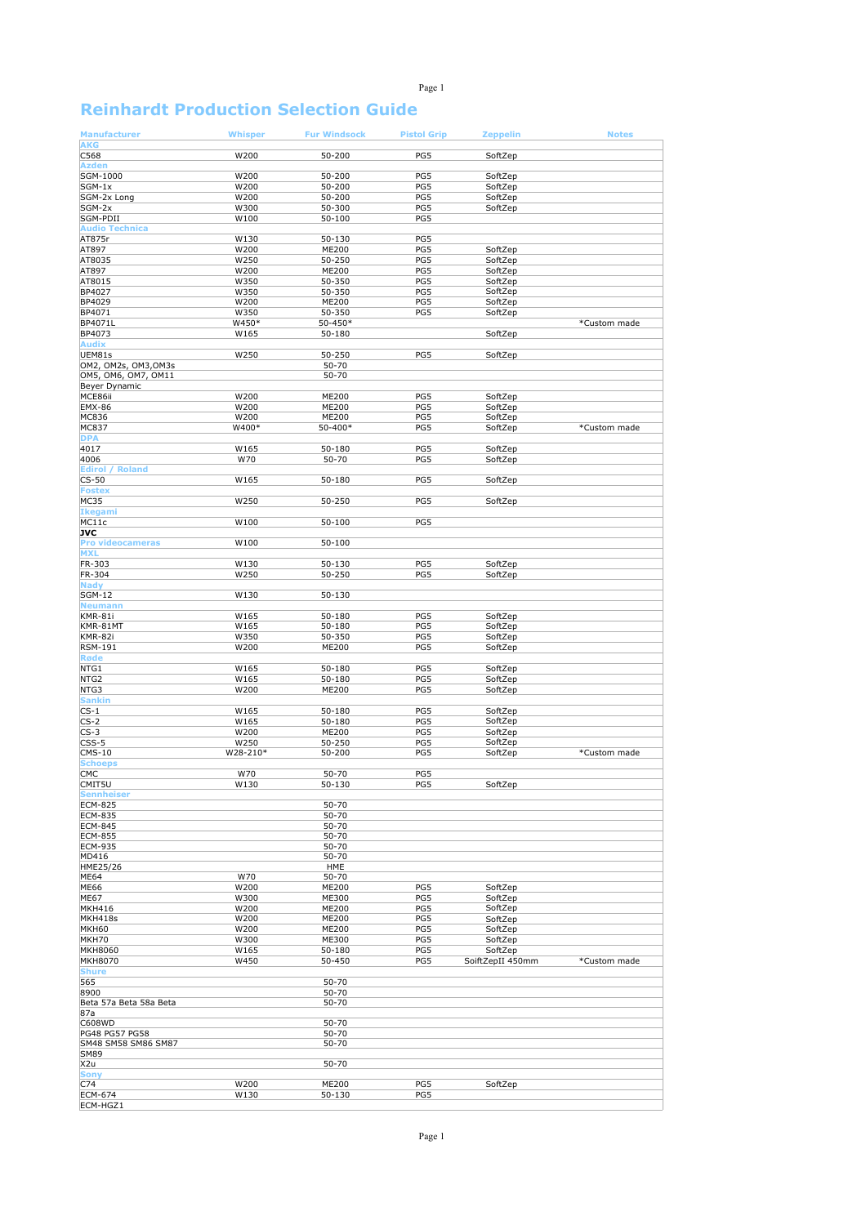## Page 1

## **Reinhardt Production Selection Guide**

| <b>Manufacturer</b>                   | <b>Whisper</b> | <b>Fur Windsock</b> | <b>Pistol Grip</b> | <b>Zeppelin</b>    | <b>Notes</b> |
|---------------------------------------|----------------|---------------------|--------------------|--------------------|--------------|
| <b>AKG</b>                            |                |                     |                    |                    |              |
| C568                                  | W200           | 50-200              | PG5                | SoftZep            |              |
| <b>Azden</b>                          |                |                     |                    |                    |              |
| SGM-1000                              | W200           | 50-200              | PG5                | SoftZep            |              |
| $SGM-1x$                              | W200           | 50-200              | PG5                | SoftZep            |              |
| SGM-2x Long                           | W200           | 50-200              | PG5                | SoftZep            |              |
| SGM-2x                                | W300           | 50-300              | PG5                | SoftZep            |              |
| SGM-PDII<br><b>Audio Technica</b>     | W100           | $50 - 100$          | PG5                |                    |              |
|                                       |                |                     |                    |                    |              |
| AT875r<br>AT897                       | W130<br>W200   | $50 - 130$<br>ME200 | PG5<br>PG5         | SoftZep            |              |
| AT8035                                | W250           | 50-250              | PG5                | SoftZep            |              |
| AT897                                 | W200           | ME200               | PG5                | SoftZep            |              |
| AT8015                                | W350           | 50-350              | PG5                | SoftZep            |              |
| BP4027                                | W350           | 50-350              | PG5                | SoftZep            |              |
| BP4029                                | W200           | ME200               | PG5                | SoftZep            |              |
| BP4071                                | W350           | 50-350              | PG5                | SoftZep            |              |
| BP4071L                               | W450*          | 50-450*             |                    |                    | *Custom made |
| BP4073                                | W165           | 50-180              |                    | SoftZep            |              |
| <b>Audix</b>                          |                |                     |                    |                    |              |
| UEM81s                                | W250           | 50-250              | PG5                | SoftZep            |              |
| OM2, OM2s, OM3, OM3s                  |                | 50-70               |                    |                    |              |
| OM5, OM6, OM7, OM11                   |                | 50-70               |                    |                    |              |
| Beyer Dynamic                         |                |                     |                    |                    |              |
| MCE86ii                               | W200           | ME200               | PG5                | SoftZep            |              |
| <b>EMX-86</b><br>MC836                | W200<br>W200   | ME200<br>ME200      | PG5<br>PG5         | SoftZep            |              |
| MC837                                 | W400*          | 50-400*             | PG5                | SoftZep<br>SoftZep | *Custom made |
| <b>DPA</b>                            |                |                     |                    |                    |              |
| 4017                                  | W165           | 50-180              | PG5                | SoftZep            |              |
| 4006                                  | W70            | $50 - 70$           | PG5                | SoftZep            |              |
| <b>Edirol / Roland</b>                |                |                     |                    |                    |              |
| $CS-50$                               | W165           | 50-180              | PG5                | SoftZep            |              |
| <b>Fostex</b>                         |                |                     |                    |                    |              |
| <b>MC35</b>                           | W250           | 50-250              | PG5                | SoftZep            |              |
| <b>Ikegami</b>                        |                |                     |                    |                    |              |
| MC11c                                 | W100           | 50-100              | PG5                |                    |              |
| JVC                                   |                |                     |                    |                    |              |
| <b>Pro videocameras</b>               | W100           | 50-100              |                    |                    |              |
| <b>MXL</b>                            |                |                     |                    |                    |              |
| FR-303                                | W130           | 50-130              | PG5                | SoftZep            |              |
| FR-304                                | W250           | 50-250              | PG5                | SoftZep            |              |
| <b>Nady</b><br><b>SGM-12</b>          | W130           | 50-130              |                    |                    |              |
| <b>Neumann</b>                        |                |                     |                    |                    |              |
| KMR-81i                               | W165           | 50-180              | PG5                | SoftZep            |              |
| KMR-81MT                              | W165           | 50-180              | PG5                | SoftZep            |              |
| KMR-82i                               | W350           | 50-350              | PG5                | SoftZep            |              |
| RSM-191                               | W200           | ME200               | PG5                | SoftZep            |              |
| <b>Røde</b>                           |                |                     |                    |                    |              |
| NTG1                                  | W165           | 50-180              | PG5                | SoftZep            |              |
| NTG2                                  | W165           | 50-180              | PG5                | SoftZep            |              |
| NTG3                                  | W200           | ME200               | PG5                | SoftZep            |              |
| <b>Sankin</b>                         |                |                     |                    |                    |              |
| $CS-1$                                | W165           | 50-180              | PG5                | SoftZep            |              |
| $CS-2$                                | W165           | 50-180              | PG5                | SoftZep            |              |
| $CS-3$                                | W200           | ME200               | PG5                | SoftZep            |              |
| $CSS-5$                               | W250           | 50-250              | PG5                | SoftZep            |              |
| $CMS-10$<br><b>Schoeps</b>            | W28-210*       | 50-200              | PG5                | SoftZep            | *Custom made |
| CMC                                   | W70            | 50-70               | PG5                |                    |              |
| CMIT5U                                | W130           | 50-130              | PG5                | SoftZep            |              |
| <b>Sennheiser</b>                     |                |                     |                    |                    |              |
| <b>ECM-825</b>                        |                | 50-70               |                    |                    |              |
| <b>ECM-835</b>                        |                | 50-70               |                    |                    |              |
| <b>ECM-845</b>                        |                | 50-70               |                    |                    |              |
| <b>ECM-855</b>                        |                | $50 - 70$           |                    |                    |              |
| <b>ECM-935</b>                        |                | $50 - 70$           |                    |                    |              |
| MD416                                 |                | 50-70               |                    |                    |              |
| HME25/26                              |                | <b>HME</b>          |                    |                    |              |
| ME64<br><b>ME66</b>                   | W70<br>W200    | 50-70<br>ME200      | PG5                | SoftZep            |              |
| <b>ME67</b>                           | W300           | ME300               | PG5                | SoftZep            |              |
| <b>MKH416</b>                         | W200           | ME200               | PG5                | SoftZep            |              |
| MKH418s                               | W200           | ME200               | PG5                | SoftZep            |              |
| <b>MKH60</b>                          | W200           | ME200               | PG5                | SoftZep            |              |
| MKH70                                 | W300           | ME300               | PG5                | SoftZep            |              |
| <b>MKH8060</b>                        | W165           | 50-180              | PG5                | SoftZep            |              |
| <b>MKH8070</b>                        | W450           | 50-450              | PG5                | SoiftZepII 450mm   | *Custom made |
| <b>Shure</b>                          |                |                     |                    |                    |              |
| 565                                   |                | 50-70               |                    |                    |              |
| 8900                                  |                | 50-70               |                    |                    |              |
| Beta 57a Beta 58a Beta                |                | 50-70               |                    |                    |              |
| 87a                                   |                |                     |                    |                    |              |
| C608WD                                |                | 50-70               |                    |                    |              |
| PG48 PG57 PG58<br>SM48 SM58 SM86 SM87 |                | 50-70<br>50-70      |                    |                    |              |
| SM89                                  |                |                     |                    |                    |              |
| X2u                                   |                | 50-70               |                    |                    |              |
| <b>Sony</b>                           |                |                     |                    |                    |              |
| C74                                   | W200           | ME200               | PG5                | SoftZep            |              |
| <b>ECM-674</b>                        | W130           | 50-130              | PG5                |                    |              |
| ECM-HGZ1                              |                |                     |                    |                    |              |